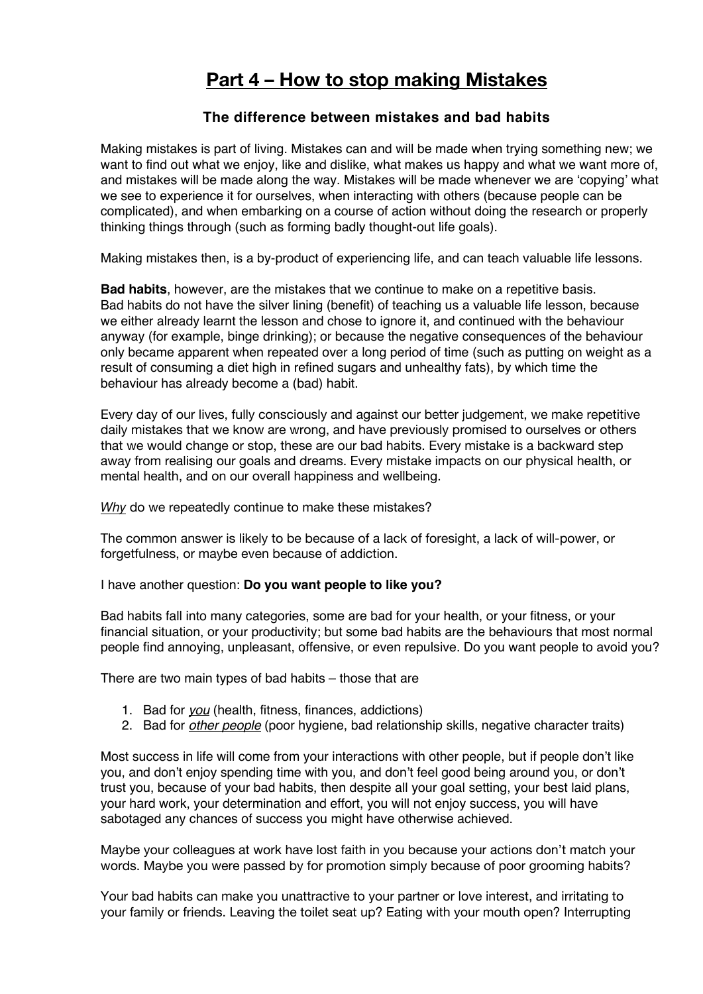## **Part 4 – How to stop making Mistakes**

## **The difference between mistakes and bad habits**

Making mistakes is part of living. Mistakes can and will be made when trying something new; we want to find out what we enjoy, like and dislike, what makes us happy and what we want more of, and mistakes will be made along the way. Mistakes will be made whenever we are 'copying' what we see to experience it for ourselves, when interacting with others (because people can be complicated), and when embarking on a course of action without doing the research or properly thinking things through (such as forming badly thought-out life goals).

Making mistakes then, is a by-product of experiencing life, and can teach valuable life lessons.

**Bad habits**, however, are the mistakes that we continue to make on a repetitive basis. Bad habits do not have the silver lining (benefit) of teaching us a valuable life lesson, because we either already learnt the lesson and chose to ignore it, and continued with the behaviour anyway (for example, binge drinking); or because the negative consequences of the behaviour only became apparent when repeated over a long period of time (such as putting on weight as a result of consuming a diet high in refined sugars and unhealthy fats), by which time the behaviour has already become a (bad) habit.

Every day of our lives, fully consciously and against our better judgement, we make repetitive daily mistakes that we know are wrong, and have previously promised to ourselves or others that we would change or stop, these are our bad habits. Every mistake is a backward step away from realising our goals and dreams. Every mistake impacts on our physical health, or mental health, and on our overall happiness and wellbeing.

*Why* do we repeatedly continue to make these mistakes?

The common answer is likely to be because of a lack of foresight, a lack of will-power, or forgetfulness, or maybe even because of addiction.

I have another question: **Do you want people to like you?**

Bad habits fall into many categories, some are bad for your health, or your fitness, or your financial situation, or your productivity; but some bad habits are the behaviours that most normal people find annoying, unpleasant, offensive, or even repulsive. Do you want people to avoid you?

There are two main types of bad habits – those that are

- 1. Bad for *you* (health, fitness, finances, addictions)
- 2. Bad for *other people* (poor hygiene, bad relationship skills, negative character traits)

Most success in life will come from your interactions with other people, but if people don't like you, and don't enjoy spending time with you, and don't feel good being around you, or don't trust you, because of your bad habits, then despite all your goal setting, your best laid plans, your hard work, your determination and effort, you will not enjoy success, you will have sabotaged any chances of success you might have otherwise achieved.

Maybe your colleagues at work have lost faith in you because your actions don't match your words. Maybe you were passed by for promotion simply because of poor grooming habits?

Your bad habits can make you unattractive to your partner or love interest, and irritating to your family or friends. Leaving the toilet seat up? Eating with your mouth open? Interrupting